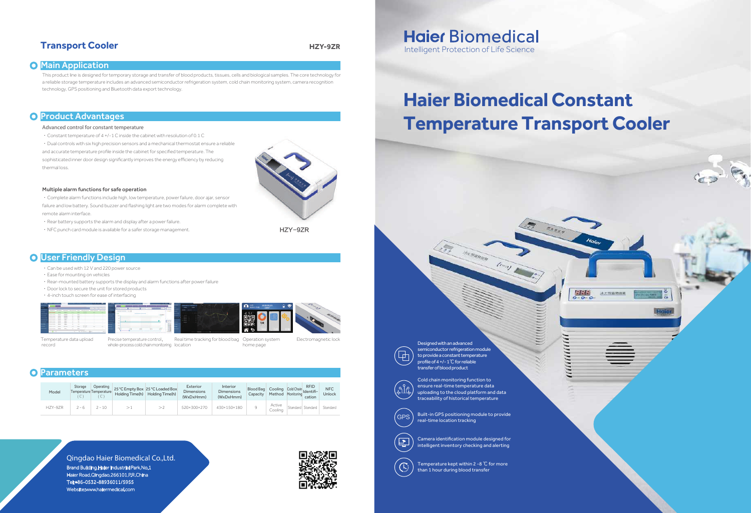## **Transport Cooler HZY-9ZR**

## **O** Main Application

This product line is designed for temporary storage and transfer of blood products, tissues, cells and biological samples. The core technology for a reliable storage temperature includes an advanced semiconductor refrigeration system, cold chain monitoring system, camera recognition technology, GPS positioning and Bluetooth data export technology.

## **O** Product Advantages

### Advanced control for constant temperature

- ·Constant temperature of 4 +/-1 C inside the cabinet with resolution of 0.1 C
- ·Dual controls with six high precision sensors and a mechanical thermostat ensure a reliable

- ·Rear battery supports the alarm and display after a power failure.
- NFC punch card module is available for a safer storage management.

## **O** User Friendly Design

and accurate temperature profile inside the cabinet for specified temperature. The

sophisticated inner door design significantly improves the energy efficiency by reducing thermal loss.



#### Multiple alarm functions for safe operation

·Complete alarm functions include high, low temperature, power failure, door ajar, sensor failure and low battery. Sound buzzer and flashing light are two modes for alarm complete with remote alarm interface.

## **Haier Biomedical** Intelligent Protection of Life Science

Built-in GPS positioning module to provide  $\langle$  GPS  $\rangle$  s<sup>Built-in GPS positioning modern</sup> (GPS  $\rangle$  real-time location tracking

- ·Can be used with 12 V and 220 power source
- ·Ease for mounting on vehicles
- ·Rear-mounted battery supports the display and alarm functions after power failure
- ·Door lock to secure the unit for stored products
- ·4-inch touch screen for ease of interfacing



Temperature data upload record

Precise temperature control, Real time tracking for blood bag Operation system Electromagnetic lock whole-process cold chain monitoring location

home page

## **O** Parameters

| Model   | Storage | Operating<br>Temperature Temperature<br>◡ | Holding Time(h) | 25 °C Empty Box 25 °C Loaded Box<br>Holding Time(h) | Exterior<br><b>Dimensions</b><br>(WxDxHmm) | Interior<br><b>Dimensions</b><br>(WxDxHmm) | Blood Bag<br>Capacity | Cooling Cold Chain Identifi-<br>Method Monitoring" | <b>RFID</b><br>cation | <b>NFC</b><br>Unlock |
|---------|---------|-------------------------------------------|-----------------|-----------------------------------------------------|--------------------------------------------|--------------------------------------------|-----------------------|----------------------------------------------------|-----------------------|----------------------|
| HZY-9ZR | $2 - 6$ | $2 - 10$                                  |                 |                                                     | 520×300×270                                | 430×150×180                                |                       | Active<br>Coolina                                  | Standard Standard     | Standard             |

Qingdao Haier Biomedical Co.,Ltd. Brand Building,Haier Industrial Park,No.1 Haier Road,Qingdao,266101,P.R.China Tel:+86-0532-88936011/5955 Website:www.haiermedical.com





semiconductor refrigeration module to provide a constant temperature profile of 4 +/- 1℃ for reliable transfer of blood product



 $\mathbf{E}$ 

Cold chain monitoring function to ensure real-time temperature data uploading to the cloud platform and data traceability of historical temperature

**COMMUNICA** 

(coor)

Camera identification module designed for intelligent inventory checking and alerting

Temperature kept within 2 -8 ℃ for more than 1 hour during blood transfer



# **Haier Biomedical Constant Temperature Transport Cooler**